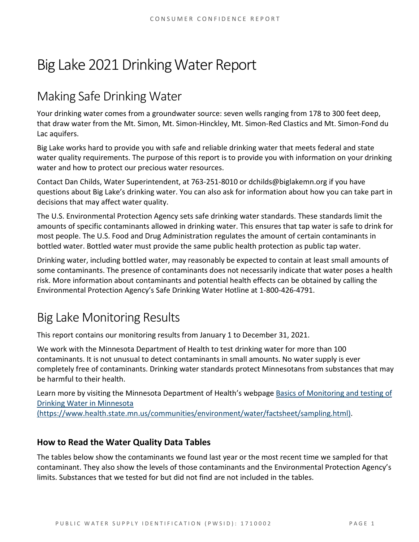# Big Lake 2021Drinking Water Report

# Making Safe Drinking Water

Your drinking water comes from a groundwater source: seven wells ranging from 178 to 300 feet deep, that draw water from the Mt. Simon, Mt. Simon-Hinckley, Mt. Simon-Red Clastics and Mt. Simon-Fond du Lac aquifers.

Big Lake works hard to provide you with safe and reliable drinking water that meets federal and state water quality requirements. The purpose of this report is to provide you with information on your drinking water and how to protect our precious water resources.

Contact Dan Childs, Water Superintendent, at 763-251-8010 or dchilds@biglakemn.org if you have questions about Big Lake's drinking water. You can also ask for information about how you can take part in decisions that may affect water quality.

The U.S. Environmental Protection Agency sets safe drinking water standards. These standards limit the amounts of specific contaminants allowed in drinking water. This ensures that tap water is safe to drink for most people. The U.S. Food and Drug Administration regulates the amount of certain contaminants in bottled water. Bottled water must provide the same public health protection as public tap water.

Drinking water, including bottled water, may reasonably be expected to contain at least small amounts of some contaminants. The presence of contaminants does not necessarily indicate that water poses a health risk. More information about contaminants and potential health effects can be obtained by calling the Environmental Protection Agency's Safe Drinking Water Hotline at 1-800-426-4791.

# Big Lake Monitoring Results

This report contains our monitoring results from January 1 to December 31, 2021.

We work with the Minnesota Department of Health to test drinking water for more than 100 contaminants. It is not unusual to detect contaminants in small amounts. No water supply is ever completely free of contaminants. Drinking water standards protect Minnesotans from substances that may be harmful to their health.

Learn more by visiting the Minnesota Department of Health's webpage [Basics of Monitoring and testing of](https://www.health.state.mn.us/communities/environment/water/factsheet/sampling.html)  [Drinking Water in Minnesota](https://www.health.state.mn.us/communities/environment/water/factsheet/sampling.html) 

[\(https://www.health.state.mn.us/communities/environment/water/factsheet/sampling.html\).](https://www.health.state.mn.us/communities/environment/water/factsheet/sampling.html)

### **How to Read the Water Quality Data Tables**

The tables below show the contaminants we found last year or the most recent time we sampled for that contaminant. They also show the levels of those contaminants and the Environmental Protection Agency's limits. Substances that we tested for but did not find are not included in the tables.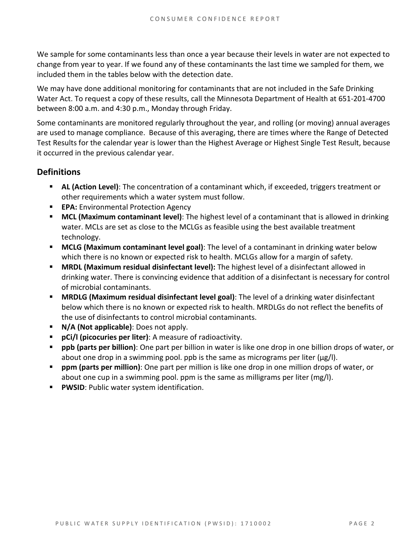We sample for some contaminants less than once a year because their levels in water are not expected to change from year to year. If we found any of these contaminants the last time we sampled for them, we included them in the tables below with the detection date.

We may have done additional monitoring for contaminants that are not included in the Safe Drinking Water Act. To request a copy of these results, call the Minnesota Department of Health at 651-201-4700 between 8:00 a.m. and 4:30 p.m., Monday through Friday.

Some contaminants are monitored regularly throughout the year, and rolling (or moving) annual averages are used to manage compliance. Because of this averaging, there are times where the Range of Detected Test Results for the calendar year is lower than the Highest Average or Highest Single Test Result, because it occurred in the previous calendar year.

### **Definitions**

- **AL (Action Level)**: The concentration of a contaminant which, if exceeded, triggers treatment or other requirements which a water system must follow.
- **EPA:** Environmental Protection Agency
- **MCL (Maximum contaminant level)**: The highest level of a contaminant that is allowed in drinking water. MCLs are set as close to the MCLGs as feasible using the best available treatment technology.
- **MCLG (Maximum contaminant level goal)**: The level of a contaminant in drinking water below which there is no known or expected risk to health. MCLGs allow for a margin of safety.
- **MRDL (Maximum residual disinfectant level):** The highest level of a disinfectant allowed in drinking water. There is convincing evidence that addition of a disinfectant is necessary for control of microbial contaminants.
- **MRDLG (Maximum residual disinfectant level goal)**: The level of a drinking water disinfectant below which there is no known or expected risk to health. MRDLGs do not reflect the benefits of the use of disinfectants to control microbial contaminants.
- **N/A (Not applicable)**: Does not apply.
- **pCi/l (picocuries per liter)**: A measure of radioactivity.
- **ppb (parts per billion)**: One part per billion in water is like one drop in one billion drops of water, or about one drop in a swimming pool. ppb is the same as micrograms per liter (μg/l).
- **ppm (parts per million)**: One part per million is like one drop in one million drops of water, or about one cup in a swimming pool. ppm is the same as milligrams per liter (mg/l).
- **PWSID**: Public water system identification.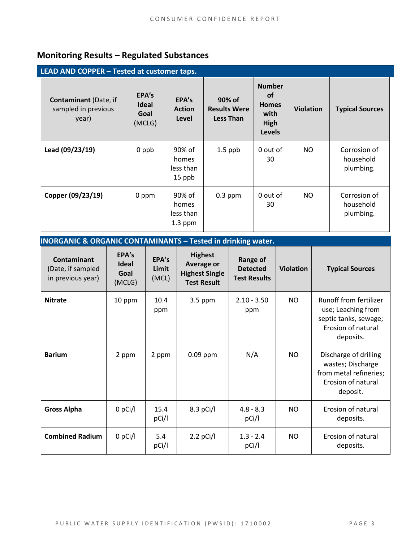### **Monitoring Results – Regulated Substances**

| LEAD AND COPPER - Tested at customer taps.                   |                                  |                                           |                                                   |                                                                             |                  |                                        |
|--------------------------------------------------------------|----------------------------------|-------------------------------------------|---------------------------------------------------|-----------------------------------------------------------------------------|------------------|----------------------------------------|
| <b>Contaminant</b> (Date, if<br>sampled in previous<br>year) | EPA's<br>Ideal<br>Goal<br>(MCLG) | EPA's<br><b>Action</b><br>Level           | 90% of<br><b>Results Were</b><br><b>Less Than</b> | <b>Number</b><br><b>of</b><br><b>Homes</b><br>with<br>High<br><b>Levels</b> | <b>Violation</b> | <b>Typical Sources</b>                 |
| Lead (09/23/19)                                              | 0 ppb                            | 90% of<br>homes<br>less than<br>15 ppb    | $1.5$ ppb                                         | 0 out of<br>30                                                              | NO.              | Corrosion of<br>household<br>plumbing. |
| Copper (09/23/19)                                            | 0 ppm                            | 90% of<br>homes<br>less than<br>$1.3$ ppm | $0.3$ ppm                                         | 0 out of<br>30                                                              | NO.              | Corrosion of<br>household<br>plumbing. |

| <b>INORGANIC &amp; ORGANIC CONTAMINANTS - Tested in drinking water.</b> |
|-------------------------------------------------------------------------|
|-------------------------------------------------------------------------|

| <b>Contaminant</b><br>(Date, if sampled<br>in previous year) | EPA's<br><b>Ideal</b><br>Goal<br>(MCLG) | EPA's<br>Limit<br>(MCL) | <b>Highest</b><br>Average or<br><b>Highest Single</b><br><b>Test Result</b> | <b>Range of</b><br><b>Detected</b><br><b>Test Results</b> | <b>Violation</b> | <b>Typical Sources</b>                                                                                   |
|--------------------------------------------------------------|-----------------------------------------|-------------------------|-----------------------------------------------------------------------------|-----------------------------------------------------------|------------------|----------------------------------------------------------------------------------------------------------|
| <b>Nitrate</b>                                               | 10 ppm                                  | 10.4<br>ppm             | $3.5$ ppm                                                                   | $2.10 - 3.50$<br>ppm                                      | NO               | Runoff from fertilizer<br>use; Leaching from<br>septic tanks, sewage;<br>Erosion of natural<br>deposits. |
| <b>Barium</b>                                                | 2 ppm                                   | 2 ppm                   | $0.09$ ppm                                                                  | N/A                                                       | <b>NO</b>        | Discharge of drilling<br>wastes; Discharge<br>from metal refineries;<br>Erosion of natural<br>deposit.   |
| <b>Gross Alpha</b>                                           | $0$ pCi/l                               | 15.4<br>pCi/l           | $8.3$ pCi/l                                                                 | $4.8 - 8.3$<br>pCi/l                                      | NO.              | Erosion of natural<br>deposits.                                                                          |
| <b>Combined Radium</b>                                       | $0$ pCi/l                               | 5.4<br>pCi/l            | $2.2$ pCi/l                                                                 | $1.3 - 2.4$<br>pCi/l                                      | <b>NO</b>        | Erosion of natural<br>deposits.                                                                          |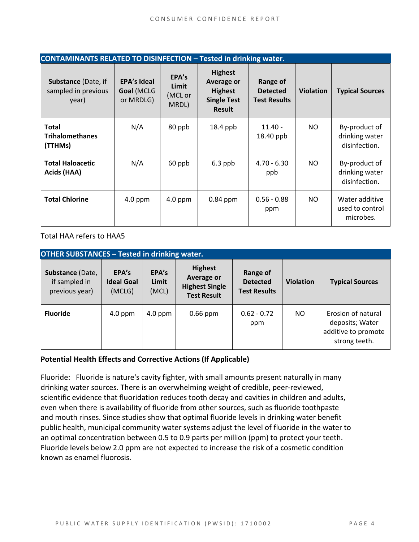| <b>CONTAMINANTS RELATED TO DISINFECTION - Tested in drinking water.</b> |                                               |                                    |                                                                                       |                                                    |                  |                                                  |  |
|-------------------------------------------------------------------------|-----------------------------------------------|------------------------------------|---------------------------------------------------------------------------------------|----------------------------------------------------|------------------|--------------------------------------------------|--|
| <b>Substance (Date, if</b><br>sampled in previous<br>year)              | <b>EPA's Ideal</b><br>Goal (MCLG<br>or MRDLG) | EPA's<br>Limit<br>(MCL or<br>MRDL) | <b>Highest</b><br>Average or<br><b>Highest</b><br><b>Single Test</b><br><b>Result</b> | Range of<br><b>Detected</b><br><b>Test Results</b> | <b>Violation</b> | <b>Typical Sources</b>                           |  |
| <b>Total</b><br><b>Trihalomethanes</b><br>(TTHMs)                       | N/A                                           | 80 ppb                             | 18.4 ppb                                                                              | $11.40 -$<br>18.40 ppb                             | NO.              | By-product of<br>drinking water<br>disinfection. |  |
| <b>Total Haloacetic</b><br>Acids (HAA)                                  | N/A                                           | 60 ppb                             | $6.3$ ppb                                                                             | $4.70 - 6.30$<br>ppb                               | NO.              | By-product of<br>drinking water<br>disinfection. |  |
| <b>Total Chlorine</b>                                                   | $4.0$ ppm                                     | $4.0$ ppm                          | $0.84$ ppm                                                                            | $0.56 - 0.88$<br>ppm                               | NO.              | Water additive<br>used to control<br>microbes.   |  |

Total HAA refers to HAA5

| <b>OTHER SUBSTANCES - Tested in drinking water.</b> |                                      |                         |                                                                                    |                                                    |                  |                                                                               |  |
|-----------------------------------------------------|--------------------------------------|-------------------------|------------------------------------------------------------------------------------|----------------------------------------------------|------------------|-------------------------------------------------------------------------------|--|
| Substance (Date,<br>if sampled in<br>previous year) | EPA's<br><b>Ideal Goal</b><br>(MCLG) | EPA's<br>Limit<br>(MCL) | <b>Highest</b><br><b>Average or</b><br><b>Highest Single</b><br><b>Test Result</b> | Range of<br><b>Detected</b><br><b>Test Results</b> | <b>Violation</b> | <b>Typical Sources</b>                                                        |  |
| <b>Fluoride</b>                                     | $4.0$ ppm                            | $4.0$ ppm               | $0.66$ ppm                                                                         | $0.62 - 0.72$<br>ppm                               | NO.              | Erosion of natural<br>deposits; Water<br>additive to promote<br>strong teeth. |  |

#### **Potential Health Effects and Corrective Actions (If Applicable)**

Fluoride: Fluoride is nature's cavity fighter, with small amounts present naturally in many drinking water sources. There is an overwhelming weight of credible, peer-reviewed, scientific evidence that fluoridation reduces tooth decay and cavities in children and adults, even when there is availability of fluoride from other sources, such as fluoride toothpaste and mouth rinses. Since studies show that optimal fluoride levels in drinking water benefit public health, municipal community water systems adjust the level of fluoride in the water to an optimal concentration between 0.5 to 0.9 parts per million (ppm) to protect your teeth. Fluoride levels below 2.0 ppm are not expected to increase the risk of a cosmetic condition known as enamel fluorosis.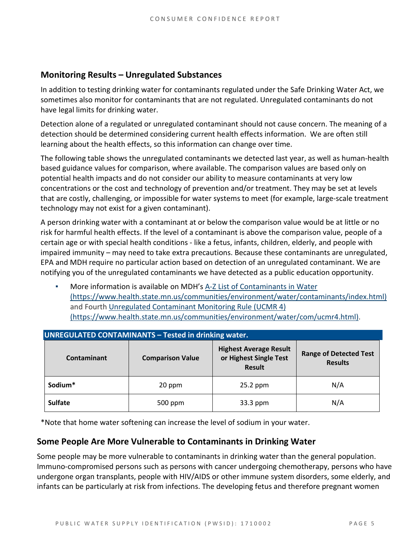### **Monitoring Results – Unregulated Substances**

In addition to testing drinking water for contaminants regulated under the Safe Drinking Water Act, we sometimes also monitor for contaminants that are not regulated. Unregulated contaminants do not have legal limits for drinking water.

Detection alone of a regulated or unregulated contaminant should not cause concern. The meaning of a detection should be determined considering current health effects information. We are often still learning about the health effects, so this information can change over time.

The following table shows the unregulated contaminants we detected last year, as well as human-health based guidance values for comparison, where available. The comparison values are based only on potential health impacts and do not consider our ability to measure contaminants at very low concentrations or the cost and technology of prevention and/or treatment. They may be set at levels that are costly, challenging, or impossible for water systems to meet (for example, large-scale treatment technology may not exist for a given contaminant).

A person drinking water with a contaminant at or below the comparison value would be at little or no risk for harmful health effects. If the level of a contaminant is above the comparison value, people of a certain age or with special health conditions - like a fetus, infants, children, elderly, and people with impaired immunity – may need to take extra precautions. Because these contaminants are unregulated, EPA and MDH require no particular action based on detection of an unregulated contaminant. We are notifying you of the unregulated contaminants we have detected as a public education opportunity.

More information is available on MDH's A-Z List of Contaminants in Water [\(https://www.health.state.mn.us/communities/environment/water/contaminants/index.html\)](https://www.health.state.mn.us/communities/environment/water/contaminants/index.html) and Fourth [Unregulated Contaminant Monitoring Rule \(UCMR 4\)](https://www.health.state.mn.us/communities/environment/water/com/ucmr4.html)  [\(https://www.health.state.mn.us/communities/environment/water/com/ucmr4.html\).](https://www.health.state.mn.us/communities/environment/water/com/ucmr4.html)

| <b>UNREGULATED CONTAMINANTS - Tested in drinking water.</b> |                         |                                                                          |                                                 |  |  |  |  |
|-------------------------------------------------------------|-------------------------|--------------------------------------------------------------------------|-------------------------------------------------|--|--|--|--|
| Contaminant                                                 | <b>Comparison Value</b> | <b>Highest Average Result</b><br>or Highest Single Test<br><b>Result</b> | <b>Range of Detected Test</b><br><b>Results</b> |  |  |  |  |
| Sodium*                                                     | 20 ppm                  | $25.2$ ppm                                                               | N/A                                             |  |  |  |  |
| <b>Sulfate</b>                                              | 500 ppm                 | 33.3 ppm                                                                 | N/A                                             |  |  |  |  |

\*Note that home water softening can increase the level of sodium in your water.

#### **Some People Are More Vulnerable to Contaminants in Drinking Water**

Some people may be more vulnerable to contaminants in drinking water than the general population. Immuno-compromised persons such as persons with cancer undergoing chemotherapy, persons who have undergone organ transplants, people with HIV/AIDS or other immune system disorders, some elderly, and infants can be particularly at risk from infections. The developing fetus and therefore pregnant women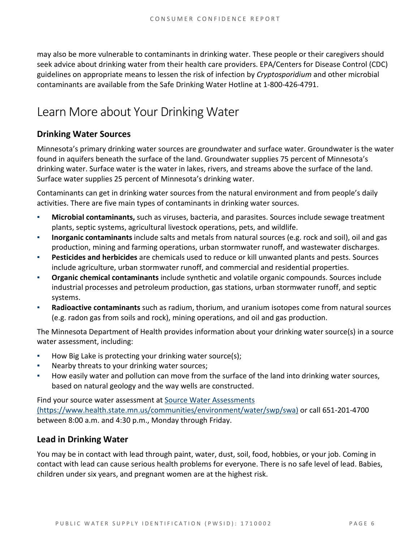may also be more vulnerable to contaminants in drinking water. These people or their caregivers should seek advice about drinking water from their health care providers. EPA/Centers for Disease Control (CDC) guidelines on appropriate means to lessen the risk of infection by *Cryptosporidium* and other microbial contaminants are available from the Safe Drinking Water Hotline at 1-800-426-4791.

## Learn More about Your Drinking Water

### **Drinking Water Sources**

Minnesota's primary drinking water sources are groundwater and surface water. Groundwater is the water found in aquifers beneath the surface of the land. Groundwater supplies 75 percent of Minnesota's drinking water. Surface water is the water in lakes, rivers, and streams above the surface of the land. Surface water supplies 25 percent of Minnesota's drinking water.

Contaminants can get in drinking water sources from the natural environment and from people's daily activities. There are five main types of contaminants in drinking water sources.

- **Microbial contaminants,** such as viruses, bacteria, and parasites. Sources include sewage treatment plants, septic systems, agricultural livestock operations, pets, and wildlife.
- **Inorganic contaminants** include salts and metals from natural sources (e.g. rock and soil), oil and gas production, mining and farming operations, urban stormwater runoff, and wastewater discharges.
- **Pesticides and herbicides** are chemicals used to reduce or kill unwanted plants and pests. Sources include agriculture, urban stormwater runoff, and commercial and residential properties.
- **Organic chemical contaminants** include synthetic and volatile organic compounds. Sources include industrial processes and petroleum production, gas stations, urban stormwater runoff, and septic systems.
- Radioactive contaminants such as radium, thorium, and uranium isotopes come from natural sources (e.g. radon gas from soils and rock), mining operations, and oil and gas production.

The Minnesota Department of Health provides information about your drinking water source(s) in a source water assessment, including:

- How Big Lake is protecting your drinking water source(s);
- Nearby threats to your drinking water sources;
- How easily water and pollution can move from the surface of the land into drinking water sources, based on natural geology and the way wells are constructed.

Find your source water assessment a[t Source Water Assessments](https://www.health.state.mn.us/communities/environment/water/swp/swa)  [\(https://www.health.state.mn.us/communities/environment/water/swp/swa\)](https://www.health.state.mn.us/communities/environment/water/swp/swa) or call 651-201-4700 between 8:00 a.m. and 4:30 p.m., Monday through Friday.

### **Lead in Drinking Water**

You may be in contact with lead through paint, water, dust, soil, food, hobbies, or your job. Coming in contact with lead can cause serious health problems for everyone. There is no safe level of lead. Babies, children under six years, and pregnant women are at the highest risk.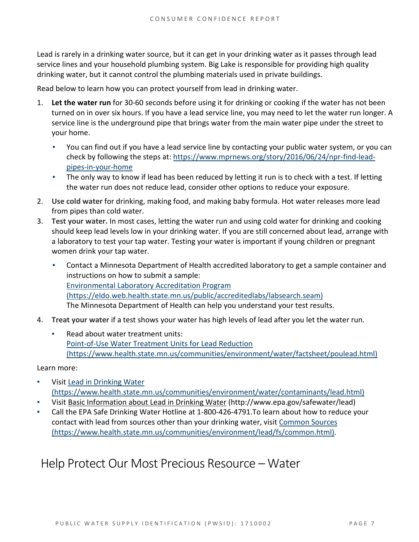Lead is rarely in a drinking water source, but it can get in your drinking water as it passes through lead service lines and your household plumbing system. Big Lake is responsible for providing high quality drinking water, but it cannot control the plumbing materials used in private buildings.

Read below to learn how you can protect yourself from lead in drinking water.

- 1. **Let the water run** for 30-60 seconds before using it for drinking or cooking if the water has not been turned on in over six hours. If you have a lead service line, you may need to let the water run longer. A service line is the underground pipe that brings water from the main water pipe under the street to your home.
	- You can find out if you have a lead service line by contacting your public water system, or you can check by following the steps at: [https://www.mprnews.org/story/2016/06/24/npr-find-lead](https://www.mprnews.org/story/2016/06/24/npr-find-lead-pipes-in-your-home)[pipes-in-your-home](https://www.mprnews.org/story/2016/06/24/npr-find-lead-pipes-in-your-home)
	- **•** The only way to know if lead has been reduced by letting it run is to check with a test. If letting the water run does not reduce lead, consider other options to reduce your exposure.
- 2. **Use cold water** for drinking, making food, and making baby formula. Hot water releases more lead from pipes than cold water.
- 3. **Test your water.** In most cases, letting the water run and using cold water for drinking and cooking should keep lead levels low in your drinking water. If you are still concerned about lead, arrange with a laboratory to test your tap water. Testing your water is important if young children or pregnant women drink your tap water.
	- Contact a Minnesota Department of Health accredited laboratory to get a sample container and instructions on how to submit a sample: [Environmental Laboratory Accreditation Program](https://eldo.web.health.state.mn.us/public/accreditedlabs/labsearch.seam)  [\(https://eldo.web.health.state.mn.us/public/accreditedlabs/labsearch.seam\)](https://eldo.web.health.state.mn.us/public/accreditedlabs/labsearch.seam) The Minnesota Department of Health can help you understand your test results.
- 4. **Treat your water** if a test shows your water has high levels of lead after you let the water run.
	- Read about water treatment units: [Point-of-Use Water Treatment Units for Lead Reduction](https://www.health.state.mn.us/communities/environment/water/factsheet/poulead.html)  [\(https://www.health.state.mn.us/communities/environment/water/factsheet/poulead.html\)](https://www.health.state.mn.us/communities/environment/water/factsheet/poulead.html)

Learn more:

- Visit Lead in Drinking Water [\(https://www.health.state.mn.us/communities/environment/water/contaminants/lead.html\)](https://www.health.state.mn.us/communities/environment/water/contaminants/lead.html)
- Visit [Basic Information about Lead in Drinking Water](http://www.epa.gov/safewater/lead) (http://www.epa.gov/safewater/lead)
- Call the EPA Safe Drinking Water Hotline at 1-800-426-4791. To learn about how to reduce your contact with lead from sources other than your drinking water, visi[t Common Sources](https://www.health.state.mn.us/communities/environment/lead/fs/common.html)  [\(https://www.health.state.mn.us/communities/environment/lead/fs/common.html\).](https://www.health.state.mn.us/communities/environment/lead/fs/common.html)

### Help Protect Our Most Precious Resource – Water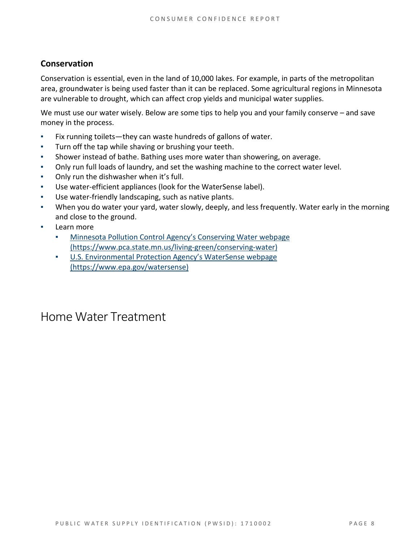### **Conservation**

Conservation is essential, even in the land of 10,000 lakes. For example, in parts of the metropolitan area, groundwater is being used faster than it can be replaced. Some agricultural regions in Minnesota are vulnerable to drought, which can affect crop yields and municipal water supplies.

We must use our water wisely. Below are some tips to help you and your family conserve – and save money in the process.

- Fix running toilets—they can waste hundreds of gallons of water.
- Turn off the tap while shaving or brushing your teeth.
- Shower instead of bathe. Bathing uses more water than showering, on average.
- Only run full loads of laundry, and set the washing machine to the correct water level.
- Only run the dishwasher when it's full.
- Use water-efficient appliances (look for the WaterSense label).
- Use water-friendly landscaping, such as native plants.
- When you do water your yard, water slowly, deeply, and less frequently. Water early in the morning and close to the ground.
- Learn more
	- Minnesota Pollution Control Agency's Conserving Water webpage [\(https://www.pca.state.mn.us/living-green/conserving-water\)](https://www.pca.state.mn.us/living-green/conserving-water)
	- [U.S. Environmental Protection Agency's WaterSense webpage](https://www.epa.gov/watersense)  [\(https://www.epa.gov/watersense\)](https://www.epa.gov/watersense)

### Home Water Treatment